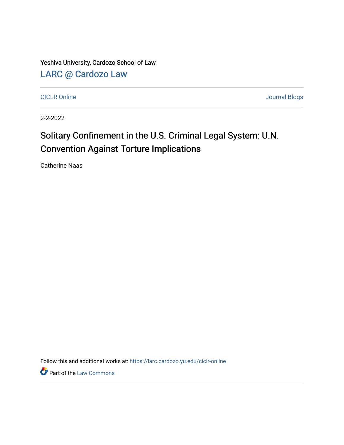Yeshiva University, Cardozo School of Law

[LARC @ Cardozo Law](https://larc.cardozo.yu.edu/)

[CICLR Online](https://larc.cardozo.yu.edu/ciclr-online) [Journal Blogs](https://larc.cardozo.yu.edu/journal-blogs) 

2-2-2022

## Solitary Confinement in the U.S. Criminal Legal System: U.N. Convention Against Torture Implications

Catherine Naas

Follow this and additional works at: [https://larc.cardozo.yu.edu/ciclr-online](https://larc.cardozo.yu.edu/ciclr-online?utm_source=larc.cardozo.yu.edu%2Fciclr-online%2F35&utm_medium=PDF&utm_campaign=PDFCoverPages) 

**P** Part of the [Law Commons](http://network.bepress.com/hgg/discipline/578?utm_source=larc.cardozo.yu.edu%2Fciclr-online%2F35&utm_medium=PDF&utm_campaign=PDFCoverPages)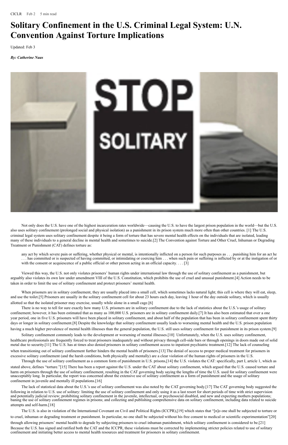## **Solitary Confinement in the U.S. Criminal Legal System: U.N. Convention Against Torture Implications**

CICLR Feb 2 5 min read

Updated: Feb 3

*By: Catherine Naas*



any act by which severe pain or suffering, whether physical or mental, is intentionally inflicted on a person for such purposes as . . . punishing him for an act he . . . has committed or is suspected of having committed, or intimidating or coercing him . . . when such pain or suffering is inflicted by or at the instigation of or with the consent or acquiescence of a public official or other person acting in an official capacity. . . . [3]

Not only does the U.S. have one of the highest incarceration rates worldwide—causing the U.S. to have the largest prison population in the world—but the U.S. also uses solitary confinement (prolonged social and physical isolation) as a punishment in its prison system much more often than other countries. [1] The U.S. criminal legal system uses solitary confinement despite it being a form of torture that has severe mental health effects on the individuals that are isolated, leading many of these individuals to a general decline in mental health and sometimes to suicide.[2] The Convention against Torture and Other Cruel, Inhuman or Degrading Treatment or Punishment (CAT) defines torture as:

There is no way to tell for sure exactly how many U.S. prisoners are in solitary confinement due to the lack of statistics about the U.S.'s usage of solitary confinement; however, it has been estimated that as many as 100,000 U.S. prisoners are in solitary confinement daily.[7] It has also been estimated that over a one year period, one in five U.S. prisoners will have been placed in solitary confinement, and about half of the population that has been in solitary confinement spent thirty days or longer in solitary confinement.[8] Despite the knowledge that solitary confinement usually leads to worsening mental health and the U.S. prison population

having a much higher prevalence of mental health illnesses than the general population, the U.S. still uses solitary confinement for punishment in its prison system.[9]

Viewed this way, the U.S. not only violates prisoners' human rights under international law through the use of solitary confinement as a punishment, but arguably also violates its own law under amendment VIII of the U.S. Constitution, which prohibits the use of cruel and unusual punishment.[4] Action needs to be taken in order to limit the use of solitary confinement and protect prisoners' mental health.

When prisoners are in solitary confinement, they are usually placed into a small cell, which sometimes lacks natural light; this cell is where they will eat, sleep, and use the toilet.[5] Prisoners are usually in the solitary confinement cell for about 23 hours each day, leaving 1 hour of the day outside solitary, which is usually allotted so that the isolated prisoner may exercise, usually while alone in a small cage.[6]

Solitary confinement commonly leads to the development or worsening of mental illnesses.[10] Unfortunately, when the U.S. uses solitary confinement, healthcare professionals are frequently forced to treat prisoners inadequately and without privacy through cell-side bars or through openings in doors made out of solid metal due to security.[11] The U.S. has at times also denied prisoners in solitary confinement access to inpatient psychiatric treatment.[12] The lack of counseling when transitioning out of solitary confinement further hinders the mental health of prisoners.[13] The denial of access to proper medical treatment for prisoners in excessive solitary confinement (and the harsh conditions, both physically and mentally) are a clear violation of the human rights of prisoners in the U.S.

Through the use of solitary confinement as a common form of punishment in U.S. prisons,[14] the U.S. violates the CAT: specifically, part I, article 1, which as stated above, defines "torture."[15] There has been a report against the U.S. under the CAT about solitary confinement, which argued that the U.S. caused torture and harm on prisoners through the use of solitary confinement, resulting in the CAT governing body saying the lengths of time the U.S. used for solitary confinement were unacceptably long. In particular, the report was concerned about the extensive use of solitary confinement as a form of punishment and the usage of solitary confinement in juvenile and mentally ill populations.[16]

The lack of statistical data about the U.S.'s use of solitary confinement was also noted by the CAT governing body.[17] The CAT governing body suggested the following in relation to U.S. use of solitary: limiting the use of solitary confinement and only using it as a last resort for short periods of time with strict supervision and potentially judicial review; prohibiting solitary confinement in the juvenile, intellectual, or psychosocial disabled, and new and expecting mothers populations; baning the use of solitary confinement regimes in prisons; and collecting and publishing comprehensive data on solitary confinement, including data related to suicide attempts and self-harm.[18]

The U.S. is also in violation of the International Covenant on Civil and Political Rights (ICCPR),[19] which states that "[n]o one shall be subjected to torture or to cruel, inhuman or degrading treatment or punishment. In particular, no one shall be subjected without his free consent to medical or scientific experimentation"[20] through allowing prisoners' mental health to degrade by subjecting prisoners to cruel inhuman punishment, which solitary confinement is considered to be.[21] Because the U.S. has signed and ratified both the CAT and the ICCPR, these violations must be corrected by implementing stricter policies related to use of solitary confinement and initiating better access to mental health resources and treatment for prisoners in solitary confinement.